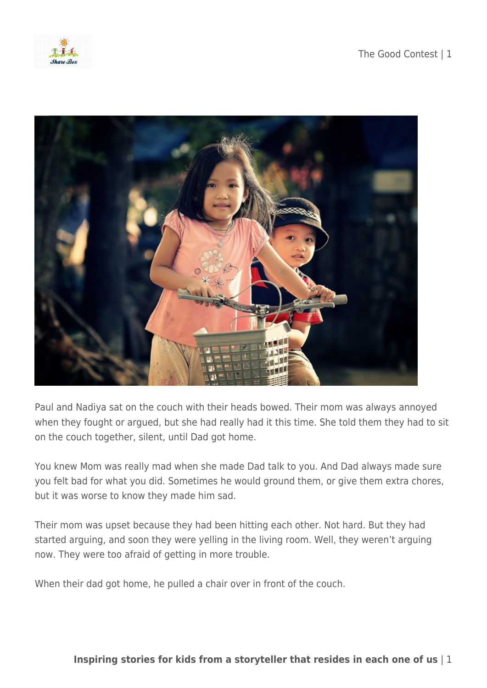



Paul and Nadiya sat on the couch with their heads bowed. Their mom was always annoyed when they fought or argued, but she had really had it this time. She told them they had to sit on the couch together, silent, until Dad got home.

You knew Mom was really mad when she made Dad talk to you. And Dad always made sure you felt bad for what you did. Sometimes he would ground them, or give them extra chores, but it was worse to know they made him sad.

Their mom was upset because they had been hitting each other. Not hard. But they had started arguing, and soon they were yelling in the living room. Well, they weren't arguing now. They were too afraid of getting in more trouble.

When their dad got home, he pulled a chair over in front of the couch.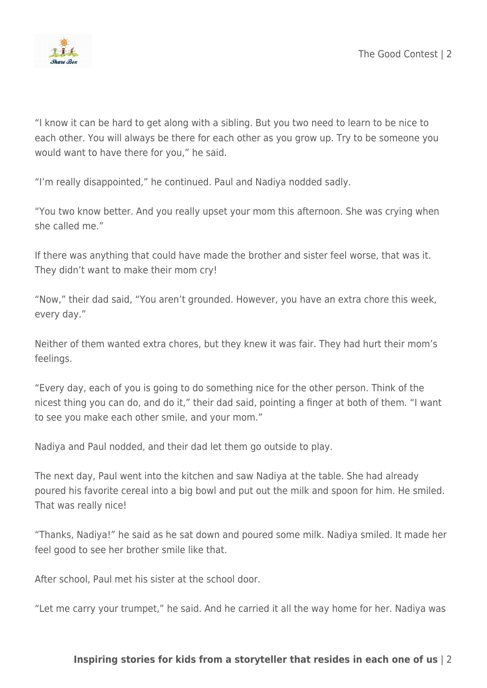

"I know it can be hard to get along with a sibling. But you two need to learn to be nice to each other. You will always be there for each other as you grow up. Try to be someone you would want to have there for you," he said.

"I'm really disappointed," he continued. Paul and Nadiya nodded sadly.

"You two know better. And you really upset your mom this afternoon. She was crying when she called me."

If there was anything that could have made the brother and sister feel worse, that was it. They didn't want to make their mom cry!

"Now," their dad said, "You aren't grounded. However, you have an extra chore this week, every day."

Neither of them wanted extra chores, but they knew it was fair. They had hurt their mom's feelings.

"Every day, each of you is going to do something nice for the other person. Think of the nicest thing you can do, and do it," their dad said, pointing a finger at both of them. "I want to see you make each other smile, and your mom."

Nadiya and Paul nodded, and their dad let them go outside to play.

The next day, Paul went into the kitchen and saw Nadiya at the table. She had already poured his favorite cereal into a big bowl and put out the milk and spoon for him. He smiled. That was really nice!

"Thanks, Nadiya!" he said as he sat down and poured some milk. Nadiya smiled. It made her feel good to see her brother smile like that.

After school, Paul met his sister at the school door.

"Let me carry your trumpet," he said. And he carried it all the way home for her. Nadiya was